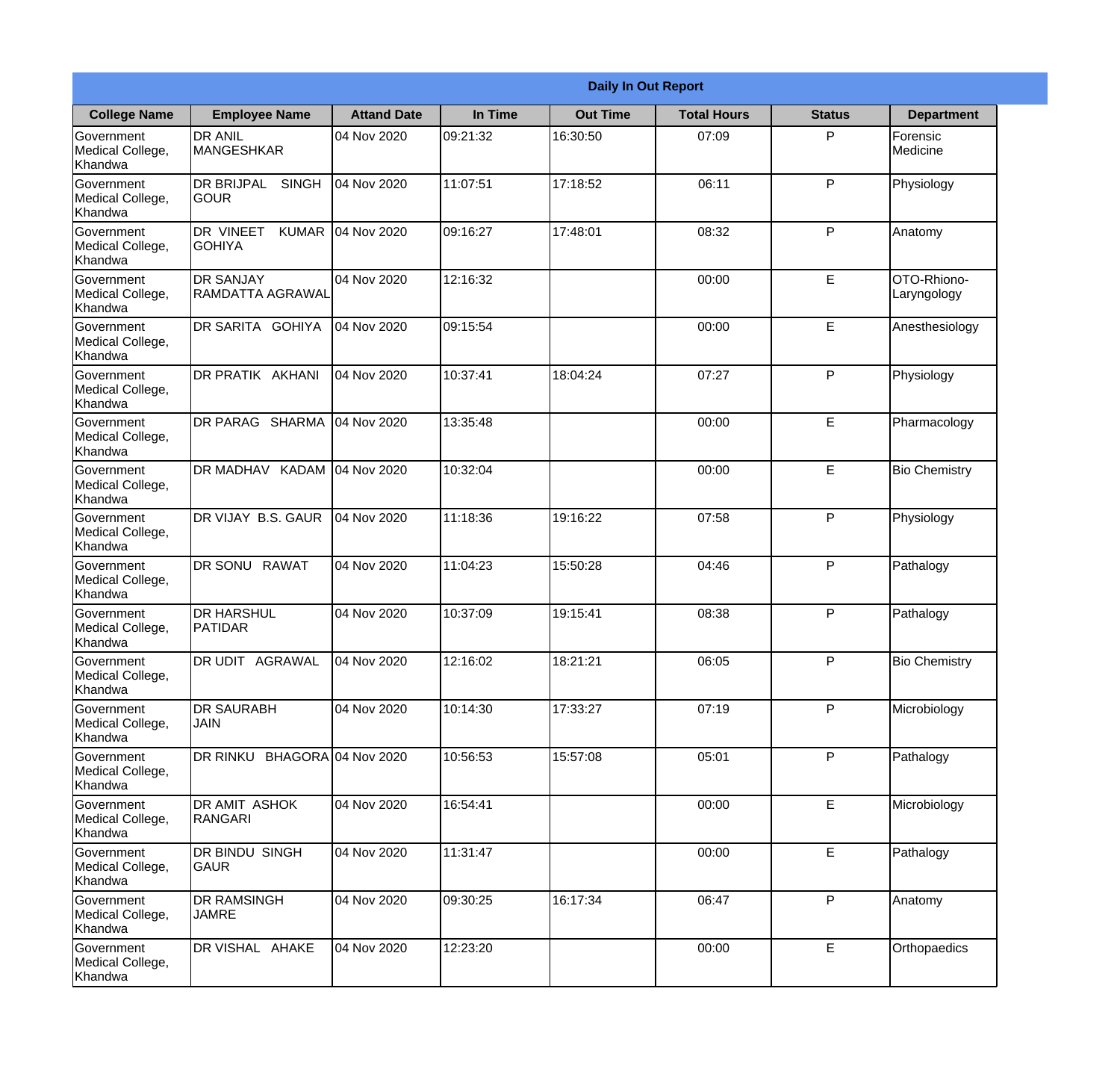|                                                  |                                                   |                    |          | <b>Daily In Out Report</b> |                    |               |                            |
|--------------------------------------------------|---------------------------------------------------|--------------------|----------|----------------------------|--------------------|---------------|----------------------------|
| <b>College Name</b>                              | <b>Employee Name</b>                              | <b>Attand Date</b> | In Time  | <b>Out Time</b>            | <b>Total Hours</b> | <b>Status</b> | <b>Department</b>          |
| Government<br>Medical College,<br>Khandwa        | <b>DR ANIL</b><br><b>MANGESHKAR</b>               | 04 Nov 2020        | 09:21:32 | 16:30:50                   | 07:09              | P             | Forensic<br>Medicine       |
| Government<br>Medical College,<br>Khandwa        | <b>DR BRIJPAL</b><br><b>SINGH</b><br> GOUR        | 04 Nov 2020        | 11:07:51 | 17:18:52                   | 06:11              | P             | Physiology                 |
| <b>Government</b><br>Medical College,<br>Khandwa | <b>DR VINEET</b><br><b>KUMAR</b><br><b>GOHIYA</b> | 04 Nov 2020        | 09:16:27 | 17:48:01                   | 08:32              | P             | Anatomy                    |
| <b>Government</b><br>Medical College,<br>Khandwa | <b>DR SANJAY</b><br>RAMDATTA AGRAWAL              | 04 Nov 2020        | 12:16:32 |                            | 00:00              | E             | OTO-Rhiono-<br>Laryngology |
| Government<br>Medical College,<br>Khandwa        | DR SARITA GOHIYA                                  | 04 Nov 2020        | 09:15:54 |                            | 00:00              | E             | Anesthesiology             |
| Government<br>Medical College,<br>Khandwa        | <b>DR PRATIK AKHANI</b>                           | 04 Nov 2020        | 10:37:41 | 18:04:24                   | 07:27              | P             | Physiology                 |
| <b>Government</b><br>Medical College,<br>Khandwa | DR PARAG SHARMA                                   | 04 Nov 2020        | 13:35:48 |                            | 00:00              | E             | Pharmacology               |
| <b>Government</b><br>Medical College,<br>Khandwa | DR MADHAV KADAM                                   | 04 Nov 2020        | 10:32:04 |                            | 00:00              | E             | <b>Bio Chemistry</b>       |
| Government<br>Medical College,<br>Khandwa        | DR VIJAY B.S. GAUR                                | 04 Nov 2020        | 11:18:36 | 19:16:22                   | 07:58              | P             | Physiology                 |
| Government<br>Medical College,<br>Khandwa        | <b>RAWAT</b><br>DR SONU                           | 04 Nov 2020        | 11:04:23 | 15:50:28                   | 04:46              | P             | Pathalogy                  |
| Government<br>Medical College,<br>Khandwa        | <b>DR HARSHUL</b><br><b>PATIDAR</b>               | 04 Nov 2020        | 10:37:09 | 19:15:41                   | 08:38              | P             | Pathalogy                  |
| Government<br>Medical College,<br>Khandwa        | DR UDIT AGRAWAL                                   | 04 Nov 2020        | 12:16:02 | 18:21:21                   | 06:05              | P             | <b>Bio Chemistry</b>       |
| Government<br>Medical College,<br>Khandwa        | <b>DR SAURABH</b><br><b>JAIN</b>                  | 04 Nov 2020        | 10:14:30 | 17:33:27                   | 07:19              | P             | Microbiology               |
| Government<br>Medical College,<br>Khandwa        | DR RINKU BHAGORA 04 Nov 2020                      |                    | 10:56:53 | 15:57:08                   | 05:01              | P             | Pathalogy                  |
| Government<br>Medical College,<br>Khandwa        | DR AMIT ASHOK<br>RANGARI                          | 04 Nov 2020        | 16:54:41 |                            | 00:00              | E             | Microbiology               |
| Government<br>Medical College,<br>Khandwa        | DR BINDU SINGH<br><b>GAUR</b>                     | 04 Nov 2020        | 11:31:47 |                            | 00:00              | E             | Pathalogy                  |
| Government<br>Medical College,<br>Khandwa        | <b>DR RAMSINGH</b><br><b>JAMRE</b>                | 04 Nov 2020        | 09:30:25 | 16:17:34                   | 06:47              | P             | Anatomy                    |
| Government<br>Medical College,<br>Khandwa        | DR VISHAL AHAKE                                   | 04 Nov 2020        | 12:23:20 |                            | 00:00              | $\mathsf E$   | Orthopaedics               |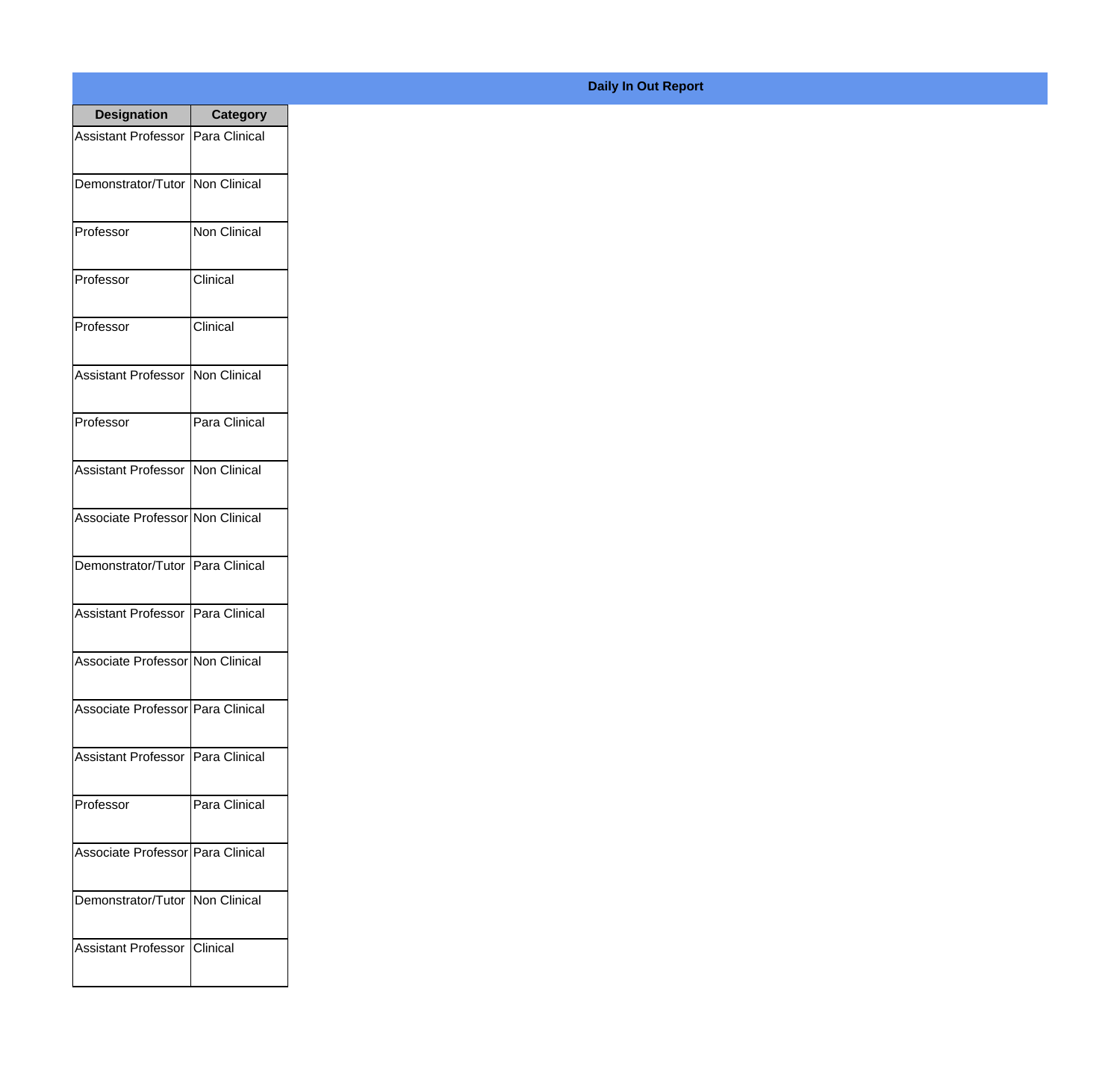| <b>Designation</b>                  | <b>Category</b> |
|-------------------------------------|-----------------|
| <b>Assistant Professor</b>          | Para Clinical   |
| Demonstrator/Tutor                  | Non Clinical    |
| Professor                           | Non Clinical    |
| Professor                           | Clinical        |
| Professor                           | Clinical        |
| <b>Assistant Professor</b>          | Non Clinical    |
| Professor                           | Para Clinical   |
| <b>Assistant Professor</b>          | Non Clinical    |
| Associate Professor Non Clinical    |                 |
| Demonstrator/Tutor                  | Para Clinical   |
| <b>Assistant Professor</b>          | Para Clinical   |
| Associate Professor Non Clinical    |                 |
| Associate Professor Para Clinical   |                 |
| Assistant Professor   Para Clinical |                 |
| Professor                           | Para Clinical   |
| Associate Professor   Para Clinical |                 |
| Demonstrator/Tutor   Non Clinical   |                 |
| Assistant Professor   Clinical      |                 |

**Daily In Out Report**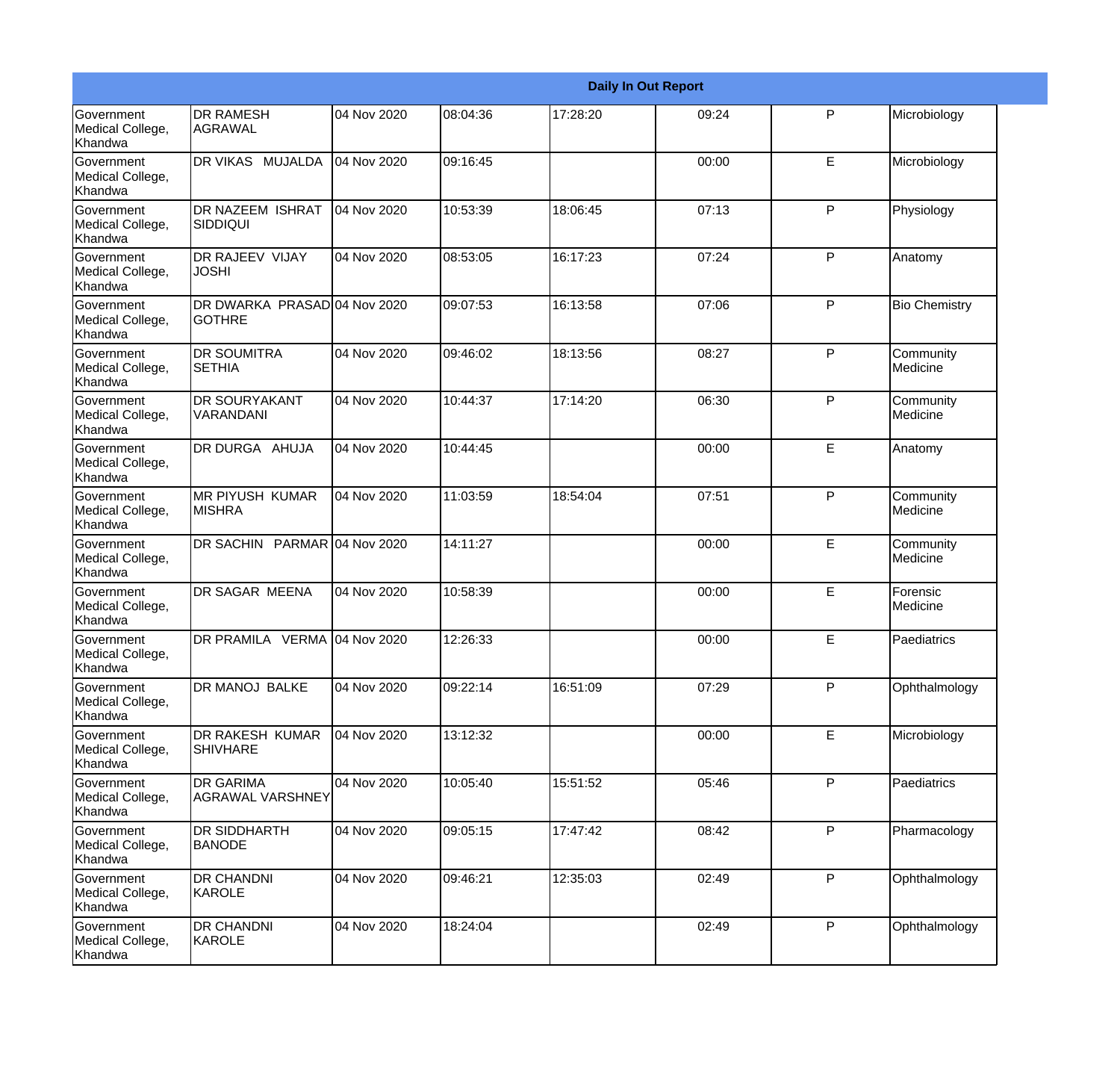|                                                  |                                               |             |          |          | <b>Daily In Out Report</b> |              |                       |
|--------------------------------------------------|-----------------------------------------------|-------------|----------|----------|----------------------------|--------------|-----------------------|
| <b>Government</b><br>Medical College,<br>Khandwa | <b>DR RAMESH</b><br>AGRAWAL                   | 04 Nov 2020 | 08:04:36 | 17:28:20 | 09:24                      | $\mathsf{P}$ | Microbiology          |
| Government<br>Medical College,<br>Khandwa        | DR VIKAS MUJALDA                              | 04 Nov 2020 | 09:16:45 |          | 00:00                      | E            | Microbiology          |
| <b>Government</b><br>Medical College,<br>Khandwa | <b>DR NAZEEM ISHRAT</b><br><b>SIDDIQUI</b>    | 04 Nov 2020 | 10:53:39 | 18:06:45 | 07:13                      | P            | Physiology            |
| Government<br>Medical College,<br>Khandwa        | <b>DR RAJEEV VIJAY</b><br><b>JOSHI</b>        | 04 Nov 2020 | 08:53:05 | 16:17:23 | 07:24                      | P            | Anatomy               |
| Government<br>Medical College,<br>Khandwa        | DR DWARKA PRASAD 04 Nov 2020<br><b>GOTHRE</b> |             | 09:07:53 | 16:13:58 | 07:06                      | $\mathsf{P}$ | <b>Bio Chemistry</b>  |
| Government<br>Medical College,<br><b>Khandwa</b> | <b>DR SOUMITRA</b><br><b>SETHIA</b>           | 04 Nov 2020 | 09:46:02 | 18:13:56 | 08:27                      | P            | Community<br>Medicine |
| <b>Government</b><br>Medical College,<br>Khandwa | <b>DR SOURYAKANT</b><br>VARANDANI             | 04 Nov 2020 | 10:44:37 | 17:14:20 | 06:30                      | P            | Community<br>Medicine |
| Government<br>Medical College,<br>Khandwa        | DR DURGA AHUJA                                | 04 Nov 2020 | 10:44:45 |          | 00:00                      | E            | Anatomy               |
| Government<br>Medical College,<br>Khandwa        | <b>MR PIYUSH KUMAR</b><br><b>MISHRA</b>       | 04 Nov 2020 | 11:03:59 | 18:54:04 | 07:51                      | $\mathsf{P}$ | Community<br>Medicine |
| <b>Government</b><br>Medical College,<br>Khandwa | DR SACHIN PARMAR 04 Nov 2020                  |             | 14:11:27 |          | 00:00                      | E            | Community<br>Medicine |
| <b>Government</b><br>Medical College,<br>Khandwa | <b>DR SAGAR MEENA</b>                         | 04 Nov 2020 | 10:58:39 |          | 00:00                      | E            | Forensic<br>Medicine  |
| Government<br>Medical College,<br>Khandwa        | DR PRAMILA VERMA 04 Nov 2020                  |             | 12:26:33 |          | 00:00                      | E            | Paediatrics           |
| Government<br>Medical College,<br>Khandwa        | DR MANOJ BALKE                                | 04 Nov 2020 | 09:22:14 | 16:51:09 | 07:29                      | P            | Ophthalmology         |
| Government<br>Medical College,<br>Khandwa        | DR RAKESH KUMAR<br><b>SHIVHARE</b>            | 04 Nov 2020 | 13:12:32 |          | 00:00                      | E            | Microbiology          |
| Government<br>Medical College,<br>Khandwa        | <b>DR GARIMA</b><br>AGRAWAL VARSHNEY          | 04 Nov 2020 | 10:05:40 | 15:51:52 | 05:46                      | P            | Paediatrics           |
| Government<br>Medical College,<br>Khandwa        | <b>DR SIDDHARTH</b><br><b>BANODE</b>          | 04 Nov 2020 | 09:05:15 | 17:47:42 | 08:42                      | P            | Pharmacology          |
| Government<br>Medical College,<br>Khandwa        | <b>DR CHANDNI</b><br>KAROLE                   | 04 Nov 2020 | 09:46:21 | 12:35:03 | 02:49                      | $\mathsf{P}$ | Ophthalmology         |
| Government<br>Medical College,<br>Khandwa        | <b>DR CHANDNI</b><br>KAROLE                   | 04 Nov 2020 | 18:24:04 |          | 02:49                      | $\mathsf{P}$ | Ophthalmology         |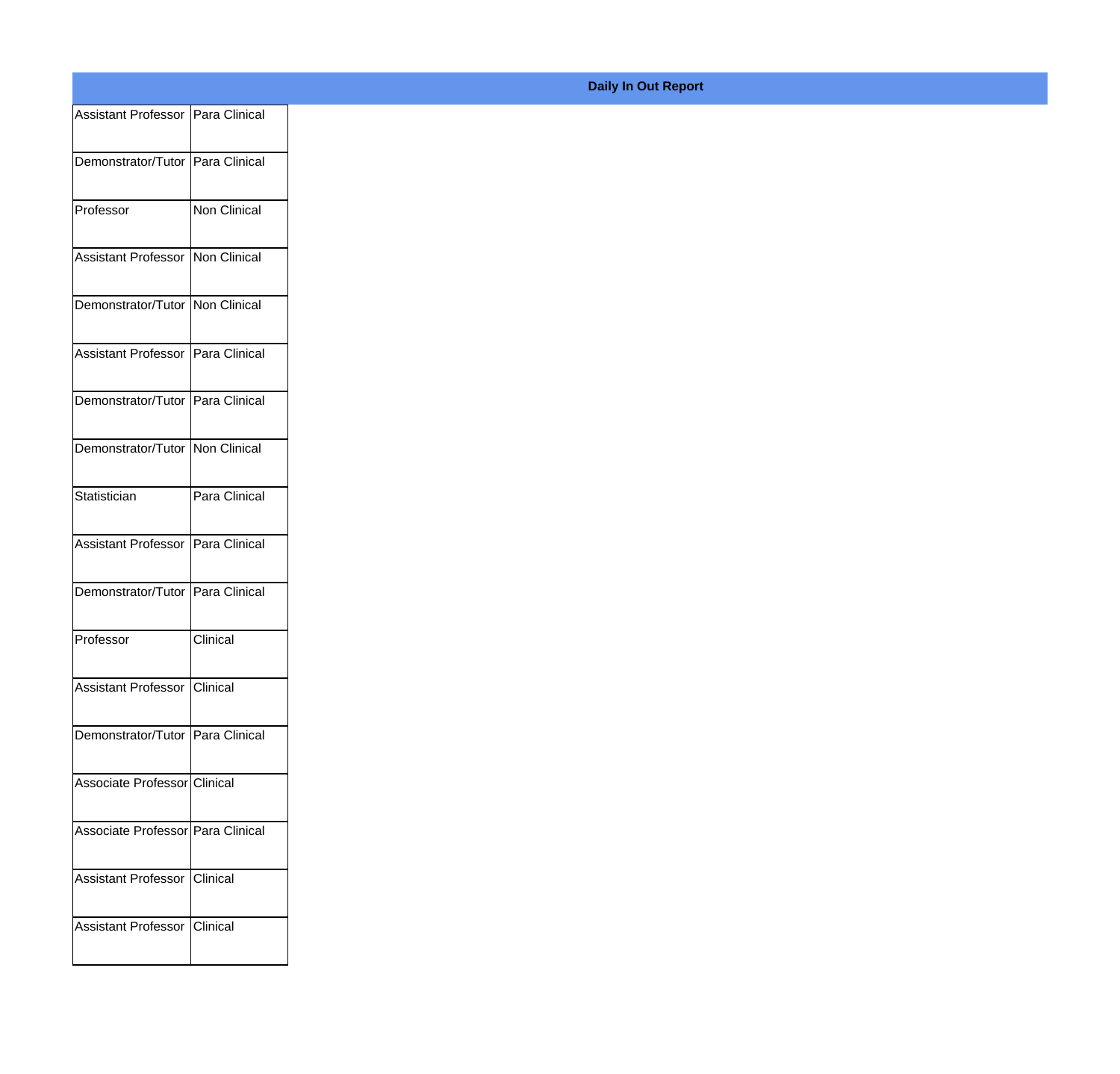| Assistant Professor   Para Clinical |               |
|-------------------------------------|---------------|
|                                     |               |
| Demonstrator/Tutor   Para Clinical  |               |
| Professor                           | Non Clinical  |
|                                     |               |
| Assistant Professor Non Clinical    |               |
| Demonstrator/Tutor Non Clinical     |               |
|                                     |               |
| Assistant Professor   Para Clinical |               |
| Demonstrator/Tutor Para Clinical    |               |
|                                     |               |
| Demonstrator/Tutor Non Clinical     |               |
| Statistician                        | Para Clinical |
| Assistant Professor   Para Clinical |               |
|                                     |               |
| Demonstrator/Tutor Para Clinical    |               |
| Professor                           | Clinical      |
|                                     |               |
| Assistant Professor Clinical        |               |
| Demonstrator/Tutor Para Clinical    |               |
|                                     |               |
| Associate Professor Clinical        |               |
| Associate Professor Para Clinical   |               |
|                                     |               |
| Assistant Professor Clinical        |               |
| Assistant Professor Clinical        |               |
|                                     |               |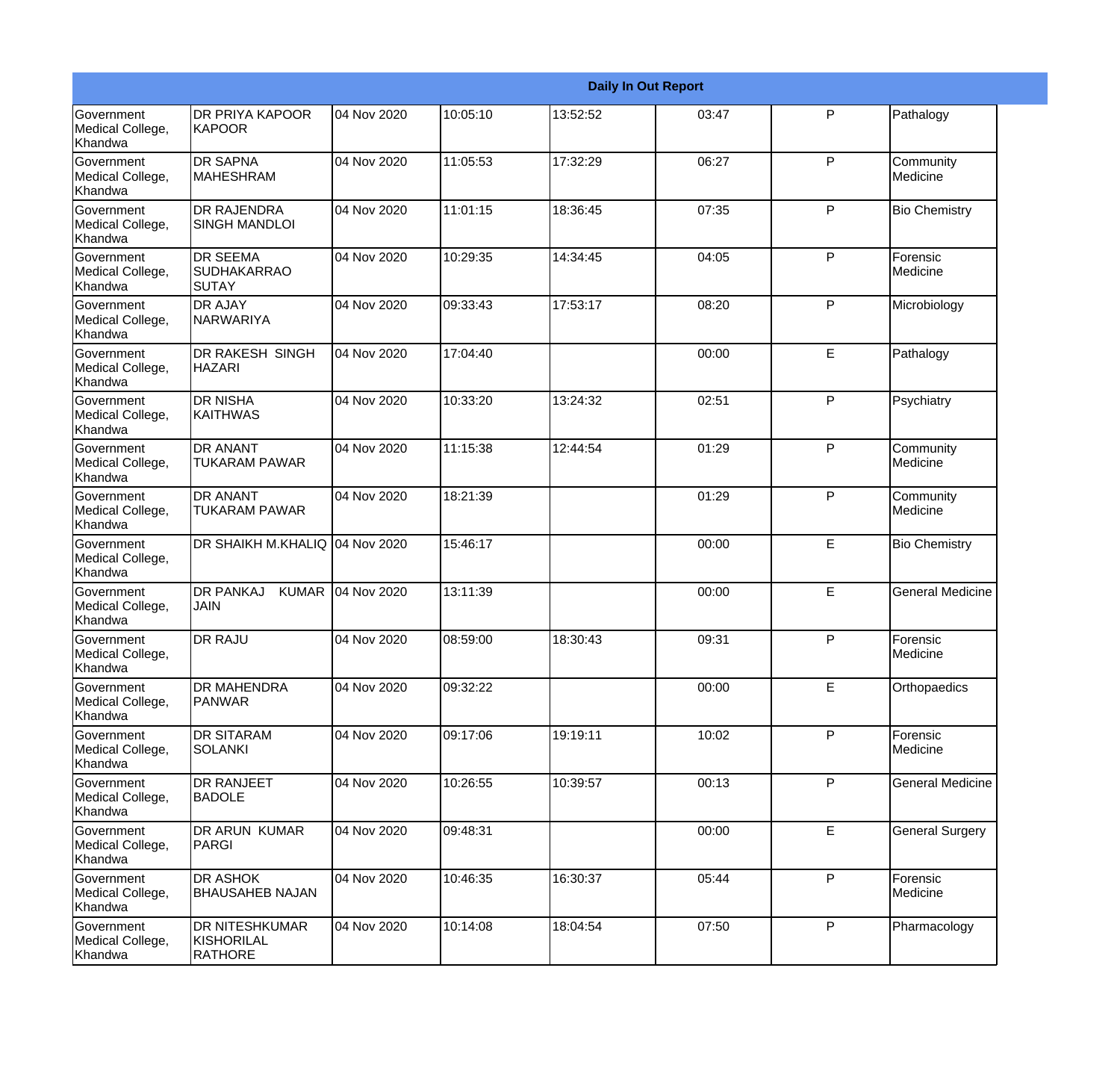|                                                  |                                                 |             |          |          | <b>Daily In Out Report</b> |              |                         |
|--------------------------------------------------|-------------------------------------------------|-------------|----------|----------|----------------------------|--------------|-------------------------|
| Government<br>Medical College,<br>Khandwa        | <b>DR PRIYA KAPOOR</b><br><b>KAPOOR</b>         | 04 Nov 2020 | 10:05:10 | 13:52:52 | 03:47                      | P            | Pathalogy               |
| Government<br>Medical College,<br>Khandwa        | <b>DR SAPNA</b><br><b>MAHESHRAM</b>             | 04 Nov 2020 | 11:05:53 | 17:32:29 | 06:27                      | P            | Community<br>Medicine   |
| <b>Government</b><br>Medical College,<br>Khandwa | <b>DR RAJENDRA</b><br><b>SINGH MANDLOI</b>      | 04 Nov 2020 | 11:01:15 | 18:36:45 | 07:35                      | P            | <b>Bio Chemistry</b>    |
| Government<br>Medical College,<br>Khandwa        | <b>DR SEEMA</b><br><b>SUDHAKARRAO</b><br>SUTAY  | 04 Nov 2020 | 10:29:35 | 14:34:45 | 04:05                      | P            | Forensic<br>Medicine    |
| <b>Government</b><br>Medical College,<br>Khandwa | <b>DR AJAY</b><br>NARWARIYA                     | 04 Nov 2020 | 09:33:43 | 17:53:17 | 08:20                      | P            | Microbiology            |
| Government<br>Medical College,<br>Khandwa        | <b>DR RAKESH SINGH</b><br><b>HAZARI</b>         | 04 Nov 2020 | 17:04:40 |          | 00:00                      | E            | Pathalogy               |
| Government<br>Medical College,<br>Khandwa        | <b>DR NISHA</b><br><b>KAITHWAS</b>              | 04 Nov 2020 | 10:33:20 | 13:24:32 | 02:51                      | P            | Psychiatry              |
| Government<br>Medical College,<br>Khandwa        | <b>DR ANANT</b><br><b>TUKARAM PAWAR</b>         | 04 Nov 2020 | 11:15:38 | 12:44:54 | 01:29                      | $\mathsf{P}$ | Community<br>Medicine   |
| <b>Government</b><br>Medical College,<br>Khandwa | <b>DR ANANT</b><br><b>TUKARAM PAWAR</b>         | 04 Nov 2020 | 18:21:39 |          | 01:29                      | $\mathsf{P}$ | Community<br>Medicine   |
| <b>Government</b><br>Medical College,<br>Khandwa | DR SHAIKH M.KHALIQ 04 Nov 2020                  |             | 15:46:17 |          | 00:00                      | E            | <b>Bio Chemistry</b>    |
| Government<br>Medical College,<br>Khandwa        | <b>DR PANKAJ</b><br><b>KUMAR</b><br><b>JAIN</b> | 04 Nov 2020 | 13:11:39 |          | 00:00                      | E            | <b>General Medicine</b> |
| Government<br>Medical College,<br>Khandwa        | <b>DR RAJU</b>                                  | 04 Nov 2020 | 08:59:00 | 18:30:43 | 09:31                      | P            | Forensic<br>Medicine    |
| Government<br>Medical College,<br>Khandwa        | <b>DR MAHENDRA</b><br><b>PANWAR</b>             | 04 Nov 2020 | 09:32:22 |          | 00:00                      | E            | Orthopaedics            |
| Government<br>Medical College,<br>Khandwa        | <b>DR SITARAM</b><br>SOLANKI                    | 04 Nov 2020 | 09:17:06 | 19:19:11 | 10:02                      | P            | Forensic<br>Medicine    |
| Government<br>Medical College,<br>Khandwa        | <b>DR RANJEET</b><br><b>BADOLE</b>              | 04 Nov 2020 | 10:26:55 | 10:39:57 | 00:13                      | P            | <b>General Medicine</b> |
| Government<br>Medical College,<br>Khandwa        | <b>DR ARUN KUMAR</b><br>PARGI                   | 04 Nov 2020 | 09:48:31 |          | 00:00                      | E            | <b>General Surgery</b>  |
| Government<br>Medical College,<br>Khandwa        | <b>DR ASHOK</b><br><b>BHAUSAHEB NAJAN</b>       | 04 Nov 2020 | 10:46:35 | 16:30:37 | 05:44                      | P            | Forensic<br>Medicine    |
| Government<br>Medical College,<br>Khandwa        | DR NITESHKUMAR<br>KISHORILAL<br>RATHORE         | 04 Nov 2020 | 10:14:08 | 18:04:54 | 07:50                      | P            | Pharmacology            |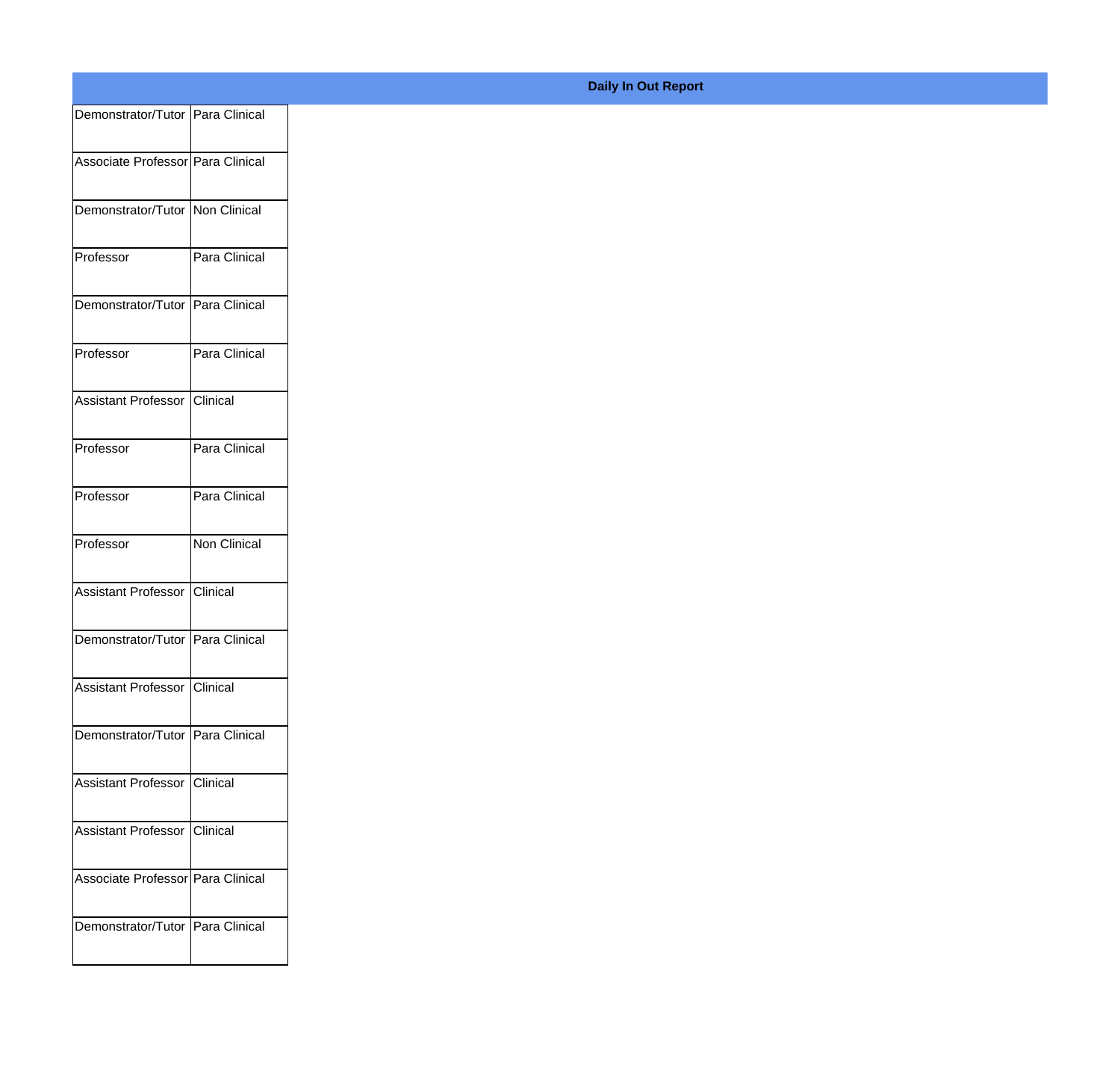| Demonstrator/Tutor   Para Clinical  |               |
|-------------------------------------|---------------|
| Associate Professor Para Clinical   |               |
|                                     |               |
| Demonstrator/Tutor   Non Clinical   |               |
|                                     |               |
| Professor                           | Para Clinical |
| Demonstrator/Tutor   Para Clinical  |               |
|                                     |               |
| Professor                           | Para Clinical |
| Assistant Professor Clinical        |               |
|                                     |               |
| Professor                           | Para Clinical |
| Professor                           | Para Clinical |
|                                     |               |
| Professor                           | Non Clinical  |
| Assistant Professor Clinical        |               |
|                                     |               |
| Demonstrator/Tutor   Para Clinical  |               |
|                                     |               |
| <b>Assistant Professor Clinical</b> |               |
| Demonstrator/Tutor   Para Clinical  |               |
|                                     |               |
| Assistant Professor   Clinical      |               |
| Assistant Professor   Clinical      |               |
|                                     |               |
| Associate Professor Para Clinical   |               |
| Demonstrator/Tutor   Para Clinical  |               |
|                                     |               |

**Daily In Out Report**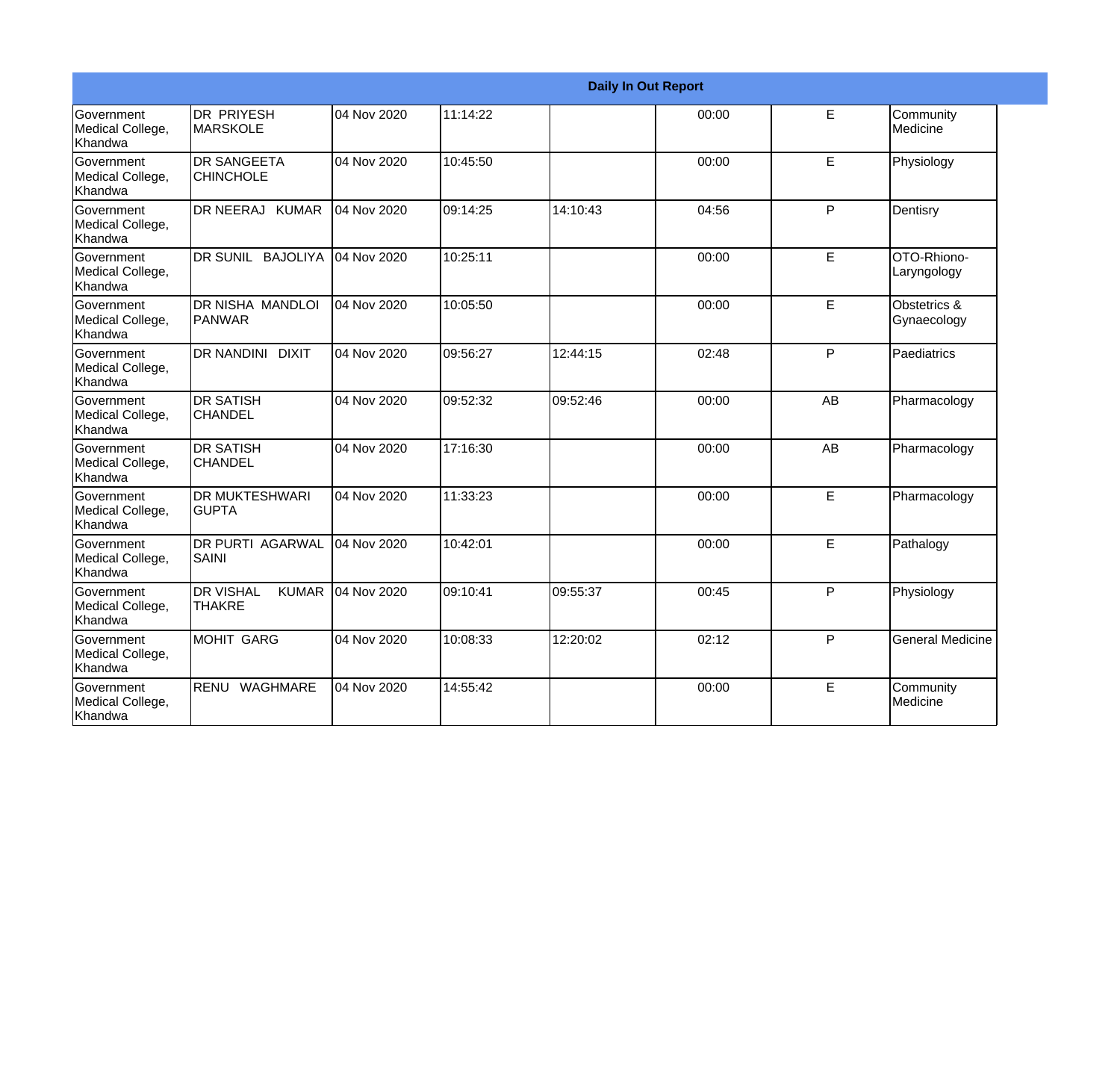|                                                  |                                                   |             |          |          | <b>Daily In Out Report</b> |    |                             |
|--------------------------------------------------|---------------------------------------------------|-------------|----------|----------|----------------------------|----|-----------------------------|
| <b>Government</b><br>Medical College,<br>Khandwa | DR PRIYESH<br><b>MARSKOLE</b>                     | 04 Nov 2020 | 11:14:22 |          | 00:00                      | E  | Community<br>Medicine       |
| Government<br>Medical College,<br>Khandwa        | <b>DR SANGEETA</b><br><b>CHINCHOLE</b>            | 04 Nov 2020 | 10:45:50 |          | 00:00                      | E  | Physiology                  |
| <b>Government</b><br>Medical College,<br>Khandwa | DR NEERAJ KUMAR                                   | 04 Nov 2020 | 09:14:25 | 14:10:43 | 04:56                      | P  | Dentisry                    |
| Government<br>Medical College,<br>Khandwa        | DR SUNIL BAJOLIYA                                 | 04 Nov 2020 | 10:25:11 |          | 00:00                      | E  | OTO-Rhiono-<br>Laryngology  |
| <b>Government</b><br>Medical College,<br>Khandwa | <b>DR NISHA MANDLOI</b><br>PANWAR                 | 04 Nov 2020 | 10:05:50 |          | 00:00                      | E  | Obstetrics &<br>Gynaecology |
| Government<br>Medical College,<br>Khandwa        | <b>DR NANDINI DIXIT</b>                           | 04 Nov 2020 | 09:56:27 | 12:44:15 | 02:48                      | P  | Paediatrics                 |
| <b>Government</b><br>Medical College,<br>Khandwa | <b>DR SATISH</b><br><b>CHANDEL</b>                | 04 Nov 2020 | 09:52:32 | 09:52:46 | 00:00                      | AB | Pharmacology                |
| Government<br>Medical College,<br>Khandwa        | <b>DR SATISH</b><br><b>CHANDEL</b>                | 04 Nov 2020 | 17:16:30 |          | 00:00                      | AB | Pharmacology                |
| <b>Government</b><br>Medical College,<br>Khandwa | <b>DR MUKTESHWARI</b><br><b>GUPTA</b>             | 04 Nov 2020 | 11:33:23 |          | 00:00                      | E  | Pharmacology                |
| Government<br>Medical College,<br>Khandwa        | <b>DR PURTI AGARWAL</b><br>SAINI                  | 04 Nov 2020 | 10:42:01 |          | 00:00                      | E  | Pathalogy                   |
| <b>Government</b><br>Medical College,<br>Khandwa | <b>DR VISHAL</b><br><b>KUMAR</b><br><b>THAKRE</b> | 04 Nov 2020 | 09:10:41 | 09:55:37 | 00:45                      | P  | Physiology                  |
| Government<br>Medical College,<br>Khandwa        | <b>MOHIT GARG</b>                                 | 04 Nov 2020 | 10:08:33 | 12:20:02 | 02:12                      | P  | <b>General Medicine</b>     |
| Government<br>Medical College,<br>Khandwa        | RENU<br><b>WAGHMARE</b>                           | 04 Nov 2020 | 14:55:42 |          | 00:00                      | E  | Community<br>Medicine       |